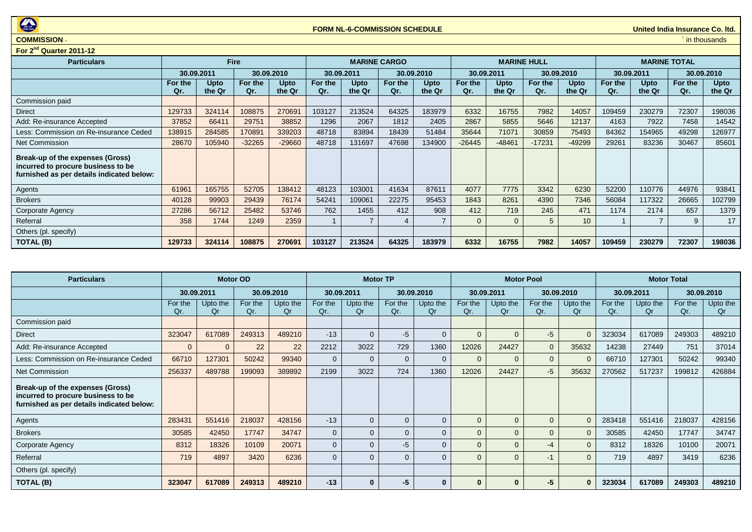

## **COMMISSION** ` in thousands

| For 2 <sup>nd</sup> Quarter 2011-12                                                                                        |                |                |                |                |                |                       |                |                       |                |                    |                |                |                |                     |                |                       |
|----------------------------------------------------------------------------------------------------------------------------|----------------|----------------|----------------|----------------|----------------|-----------------------|----------------|-----------------------|----------------|--------------------|----------------|----------------|----------------|---------------------|----------------|-----------------------|
| <b>Particulars</b>                                                                                                         | <b>Fire</b>    |                |                |                |                | <b>MARINE CARGO</b>   |                |                       |                | <b>MARINE HULL</b> |                |                |                | <b>MARINE TOTAL</b> |                |                       |
|                                                                                                                            |                | 30.09.2011     |                | 30.09.2010     |                | 30.09.2011            |                | 30.09.2010            |                | 30.09.2011         |                | 30.09.2010     |                | 30.09.2011          |                | 30.09.2010            |
|                                                                                                                            | For the<br>Qr. | Upto<br>the Qr | For the<br>Qr. | Upto<br>the Qr | For the<br>Qr. | <b>Upto</b><br>the Qr | For the<br>Qr. | <b>Upto</b><br>the Qr | For the<br>Qr. | Upto<br>the Qr     | For the<br>Qr. | Upto<br>the Qr | For the<br>Qr. | Upto<br>the Qr      | For the<br>Qr. | <b>Upto</b><br>the Qr |
| Commission paid                                                                                                            |                |                |                |                |                |                       |                |                       |                |                    |                |                |                |                     |                |                       |
| Direct                                                                                                                     | 129733         | 324114         | 108875         | 270691         | 103127         | 213524                | 64325          | 183979                | 6332           | 16755              | 7982           | 14057          | 109459         | 230279              | 72307          | 198036                |
| Add: Re-insurance Accepted                                                                                                 | 37852          | 66411          | 29751          | 38852          | 1296           | 2067                  | 1812           | 2405                  | 2867           | 5855               | 5646           | 12137          | 4163           | 7922                | 7458           | 14542                 |
| Less: Commission on Re-insurance Ceded                                                                                     | 138915         | 284585         | 170891         | 339203         | 48718          | 83894                 | 18439          | 51484                 | 35644          | 71071              | 30859          | 75493          | 84362          | 154965              | 49298          | 126977                |
| Net Commission                                                                                                             | 28670          | 105940         | $-32265$       | $-29660$       | 48718          | 131697                | 47698          | 134900                | $-26445$       | $-48461$           | $-17231$       | $-49299$       | 29261          | 83236               | 30467          | 85601                 |
| <b>Break-up of the expenses (Gross)</b><br>incurred to procure business to be<br>furnished as per details indicated below: |                |                |                |                |                |                       |                |                       |                |                    |                |                |                |                     |                |                       |
| Agents                                                                                                                     | 61961          | 165755         | 52705          | 138412         | 48123          | 103001                | 41634          | 87611                 | 4077           | 7775               | 3342           | 6230           | 52200          | 110776              | 44976          | 93841                 |
| <b>Brokers</b>                                                                                                             | 40128          | 99903          | 29439          | 76174          | 54241          | 109061                | 22275          | 95453                 | 1843           | 8261               | 4390           | 7346           | 56084          | 117322              | 26665          | 102799                |
| Corporate Agency                                                                                                           | 27286          | 56712          | 25482          | 53746          | 762            | 1455                  | 412            | 908                   | 412            | 719                | 245            | 471            | 1174           | 2174                | 657            | 1379                  |
| Referral                                                                                                                   | 358            | 1744           | 1249           | 2359           |                |                       | 4              |                       | $\Omega$       | $\Omega$           |                | 10             |                |                     | 9              | 17                    |
| Others (pl. specify)                                                                                                       |                |                |                |                |                |                       |                |                       |                |                    |                |                |                |                     |                |                       |
| <b>TOTAL (B)</b>                                                                                                           | 129733         | 324114         | 108875         | 270691         | 103127         | 213524                | 64325          | 183979                | 6332           | 16755              | 7982           | 14057          | 109459         | 230279              | 72307          | 198036                |

| <b>Particulars</b>                                                                                                  | <b>Motor OD</b> |                |                |                | <b>Motor TP</b> |                |                |                |                | <b>Motor Pool</b> |                | <b>Motor Total</b> |                |                |                |                |
|---------------------------------------------------------------------------------------------------------------------|-----------------|----------------|----------------|----------------|-----------------|----------------|----------------|----------------|----------------|-------------------|----------------|--------------------|----------------|----------------|----------------|----------------|
|                                                                                                                     |                 | 30.09.2011     |                | 30.09.2010     |                 | 30.09.2011     |                | 30.09.2010     |                | 30.09.2011        |                | 30.09.2010         | 30.09.2011     |                |                | 30.09.2010     |
|                                                                                                                     | For the<br>Qr.  | Upto the<br>Qr | For the<br>Qr. | Upto the<br>Qr | For the<br>Qr.  | Upto the<br>Or | For the<br>Qr. | Upto the<br>Qr | For the<br>Qr. | Upto the<br>Qr    | For the<br>Qr. | Upto the<br>Qr     | For the<br>Qr. | Upto the<br>Or | For the<br>Qr. | Upto the<br>Qr |
| Commission paid                                                                                                     |                 |                |                |                |                 |                |                |                |                |                   |                |                    |                |                |                |                |
| <b>Direct</b>                                                                                                       | 323047          | 617089         | 249313         | 489210         | $-13$           | $\Omega$       | $-5$           | $\Omega$       | $\overline{0}$ | $\Omega$          | $-5$           | $\Omega$           | 323034         | 617089         | 249303         | 489210         |
| Add: Re-insurance Accepted                                                                                          | $\mathbf{0}$    | $\Omega$       | 22             | 22             | 2212            | 3022           | 729            | 1360           | 12026          | 24427             | $\overline{0}$ | 35632              | 14238          | 27449          | 751            | 37014          |
| Less: Commission on Re-insurance Ceded                                                                              | 66710           | 127301         | 50242          | 99340          | $\Omega$        | $\Omega$       | $\mathbf{0}$   | $\mathbf{0}$   | $\Omega$       | $\Omega$          | $\Omega$       | $\Omega$           | 66710          | 127301         | 50242          | 99340          |
| Net Commission                                                                                                      | 256337          | 489788         | 199093         | 389892         | 2199            | 3022           | 724            | 1360           | 12026          | 24427             | $-5$           | 35632              | 270562         | 517237         | 199812         | 426884         |
| Break-up of the expenses (Gross)<br>incurred to procure business to be<br>furnished as per details indicated below: |                 |                |                |                |                 |                |                |                |                |                   |                |                    |                |                |                |                |
| Agents                                                                                                              | 283431          | 551416         | 218037         | 428156         | $-13$           | $\Omega$       | $\mathbf{0}$   | $\mathbf{0}$   | $\Omega$       | $\Omega$          | $\Omega$       | $\Omega$           | 283418         | 551416         | 218037         | 428156         |
| <b>Brokers</b>                                                                                                      | 30585           | 42450          | 17747          | 34747          | $\Omega$        | $\Omega$       | $\Omega$       | $\Omega$       | $\Omega$       | $\Omega$          | $\overline{0}$ | $\Omega$           | 30585          | 42450          | 17747          | 34747          |
| Corporate Agency                                                                                                    | 8312            | 18326          | 10109          | 20071          | $\Omega$        | $\Omega$       | $-5$           | $\Omega$       | $\overline{0}$ | 0                 | -4             | $\Omega$           | 8312           | 18326          | 10100          | 20071          |
| Referral                                                                                                            | 719             | 4897           | 3420           | 6236           | $\Omega$        | $\Omega$       | $\overline{0}$ | $\Omega$       | $\Omega$       | $\Omega$          | $-1$           | $\Omega$           | 719            | 4897           | 3419           | 6236           |
| Others (pl. specify)                                                                                                |                 |                |                |                |                 |                |                |                |                |                   |                |                    |                |                |                |                |
| TOTAL (B)                                                                                                           | 323047          | 617089         | 249313         | 489210         | $-13$           | $\bf{0}$       | -5             | $\bf{0}$       | $\bf{0}$       | 0                 | -5             | $\bf{0}$           | 323034         | 617089         | 249303         | 489210         |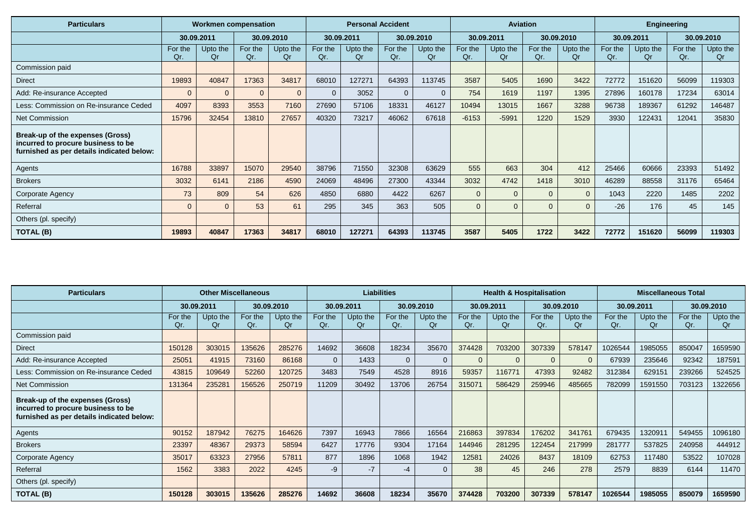| <b>Particulars</b>                                                                                                  | <b>Workmen compensation</b> |                |                | <b>Personal Accident</b> |                |                |                | <b>Aviation</b> |                |                |                | <b>Engineering</b> |                |                |                |                |
|---------------------------------------------------------------------------------------------------------------------|-----------------------------|----------------|----------------|--------------------------|----------------|----------------|----------------|-----------------|----------------|----------------|----------------|--------------------|----------------|----------------|----------------|----------------|
|                                                                                                                     |                             | 30.09.2011     |                | 30.09.2010               |                | 30.09.2011     |                | 30.09.2010      |                | 30.09.2011     |                | 30.09.2010         |                | 30.09.2011     |                | 30.09.2010     |
|                                                                                                                     | For the<br>Qr.              | Upto the<br>Qr | For the<br>Qr. | Upto the<br>Qr           | For the<br>Qr. | Upto the<br>Or | For the<br>Qr. | Upto the<br>Qr  | For the<br>Qr. | Upto the<br>Qr | For the<br>Qr. | Upto the<br>Qr     | For the<br>Qr. | Upto the<br>Qr | For the<br>Qr. | Upto the<br>Qr |
| Commission paid                                                                                                     |                             |                |                |                          |                |                |                |                 |                |                |                |                    |                |                |                |                |
| <b>Direct</b>                                                                                                       | 19893                       | 40847          | 17363          | 34817                    | 68010          | 127271         | 64393          | 113745          | 3587           | 5405           | 1690           | 3422               | 72772          | 151620         | 56099          | 119303         |
| Add: Re-insurance Accepted                                                                                          | $\overline{0}$              | $\mathbf{0}$   | $\overline{0}$ | 0                        | $\mathbf{0}$   | 3052           | $\mathbf{0}$   | $\Omega$        | 754            | 1619           | 1197           | 1395               | 27896          | 160178         | 17234          | 63014          |
| Less: Commission on Re-insurance Ceded                                                                              | 4097                        | 8393           | 3553           | 7160                     | 27690          | 57106          | 18331          | 46127           | 10494          | 13015          | 1667           | 3288               | 96738          | 189367         | 61292          | 146487         |
| Net Commission                                                                                                      | 15796                       | 32454          | 13810          | 27657                    | 40320          | 73217          | 46062          | 67618           | $-6153$        | $-5991$        | 1220           | 1529               | 3930           | 122431         | 12041          | 35830          |
| Break-up of the expenses (Gross)<br>incurred to procure business to be<br>furnished as per details indicated below: |                             |                |                |                          |                |                |                |                 |                |                |                |                    |                |                |                |                |
| Agents                                                                                                              | 16788                       | 33897          | 15070          | 29540                    | 38796          | 71550          | 32308          | 63629           | 555            | 663            | 304            | 412                | 25466          | 60666          | 23393          | 51492          |
| <b>Brokers</b>                                                                                                      | 3032                        | 6141           | 2186           | 4590                     | 24069          | 48496          | 27300          | 43344           | 3032           | 4742           | 1418           | 3010               | 46289          | 88558          | 31176          | 65464          |
| Corporate Agency                                                                                                    | 73                          | 809            | 54             | 626                      | 4850           | 6880           | 4422           | 6267            | $\Omega$       | $\Omega$       | $\Omega$       | $\Omega$           | 1043           | 2220           | 1485           | 2202           |
| Referral                                                                                                            | $\Omega$                    | $\Omega$       | 53             | 61                       | 295            | 345            | 363            | 505             | $\overline{0}$ | $\Omega$       | $\Omega$       | $\Omega$           | $-26$          | 176            | 45             | 145            |
| Others (pl. specify)                                                                                                |                             |                |                |                          |                |                |                |                 |                |                |                |                    |                |                |                |                |
| <b>TOTAL (B)</b>                                                                                                    | 19893                       | 40847          | 17363          | 34817                    | 68010          | 127271         | 64393          | 113745          | 3587           | 5405           | 1722           | 3422               | 72772          | 151620         | 56099          | 119303         |

| <b>Particulars</b>                                                                                                  | <b>Other Miscellaneous</b> |                |                | <b>Liabilities</b> |                |                |                | <b>Health &amp; Hospitalisation</b> |                |                |                | <b>Miscellaneous Total</b> |                |                |                |                |
|---------------------------------------------------------------------------------------------------------------------|----------------------------|----------------|----------------|--------------------|----------------|----------------|----------------|-------------------------------------|----------------|----------------|----------------|----------------------------|----------------|----------------|----------------|----------------|
|                                                                                                                     |                            | 30.09.2011     |                | 30.09.2010         |                | 30.09.2011     |                | 30.09.2010                          |                | 30.09.2011     |                | 30.09.2010                 | 30.09.2011     |                |                | 30.09.2010     |
|                                                                                                                     | For the<br>Qr.             | Upto the<br>0r | For the<br>Qr. | Upto the<br>Qr     | For the<br>Qr. | Upto the<br>Qr | For the<br>Qr. | Upto the<br>Or                      | For the<br>Qr. | Upto the<br>Or | For the<br>Qr. | Upto the<br>Qr             | For the<br>Qr. | Upto the<br>0r | For the<br>Qr. | Upto the<br>Qr |
| Commission paid                                                                                                     |                            |                |                |                    |                |                |                |                                     |                |                |                |                            |                |                |                |                |
| Direct                                                                                                              | 150128                     | 303015         | 135626         | 285276             | 14692          | 36608          | 18234          | 35670                               | 374428         | 703200         | 307339         | 578147                     | 1026544        | 1985055        | 850047         | 1659590        |
| Add: Re-insurance Accepted                                                                                          | 25051                      | 41915          | 73160          | 86168              | $\overline{0}$ | 1433           | $\overline{0}$ | $\Omega$                            | $\Omega$       | $\overline{0}$ |                | $\overline{0}$             | 67939          | 235646         | 92342          | 187591         |
| Less: Commission on Re-insurance Ceded                                                                              | 43815                      | 109649         | 52260          | 120725             | 3483           | 7549           | 4528           | 8916                                | 59357          | 116771         | 47393          | 92482                      | 312384         | 629151         | 239266         | 524525         |
| <b>Net Commission</b>                                                                                               | 131364                     | 235281         | 156526         | 250719             | 11209          | 30492          | 13706          | 26754                               | 315071         | 586429         | 259946         | 485665                     | 782099         | 1591550        | 703123         | 1322656        |
| Break-up of the expenses (Gross)<br>incurred to procure business to be<br>furnished as per details indicated below: |                            |                |                |                    |                |                |                |                                     |                |                |                |                            |                |                |                |                |
| Agents                                                                                                              | 90152                      | 187942         | 76275          | 164626             | 7397           | 16943          | 7866           | 16564                               | 216863         | 397834         | 176202         | 341761                     | 679435         | 1320911        | 549455         | 1096180        |
| <b>Brokers</b>                                                                                                      | 23397                      | 48367          | 29373          | 58594              | 6427           | 17776          | 9304           | 17164                               | 144946         | 281295         | 122454         | 217999                     | 281777         | 537825         | 240958         | 444912         |
| Corporate Agency                                                                                                    | 35017                      | 63323          | 27956          | 57811              | 877            | 1896           | 1068           | 1942                                | 12581          | 24026          | 8437           | 18109                      | 62753          | 117480         | 53522          | 107028         |
| Referral                                                                                                            | 1562                       | 3383           | 2022           | 4245               | $-9$           | $-7$           | $-4$           |                                     | 38             | 45             | 246            | 278                        | 2579           | 8839           | 6144           | 11470          |
| Others (pl. specify)                                                                                                |                            |                |                |                    |                |                |                |                                     |                |                |                |                            |                |                |                |                |
| TOTAL (B)                                                                                                           | 150128                     | 303015         | 135626         | 285276             | 14692          | 36608          | 18234          | 35670                               | 374428         | 703200         | 307339         | 578147                     | 1026544        | 1985055        | 850079         | 1659590        |